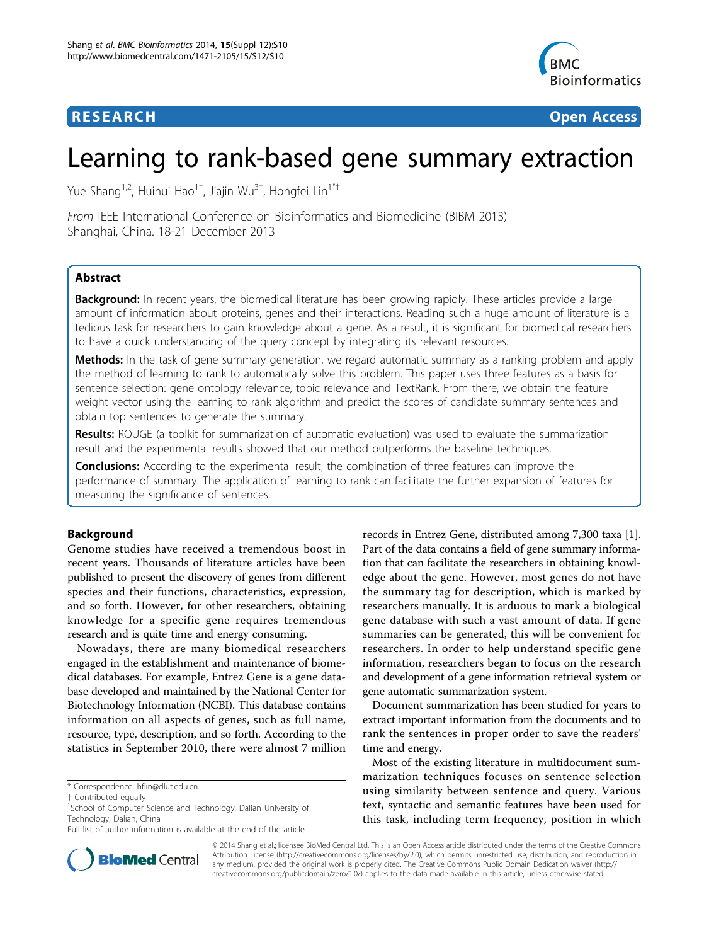## **RESEARCH CONTROL** CONTROL CONTROL CONTROL CONTROL CONTROL CONTROL CONTROL CONTROL CONTROL CONTROL CONTROL CONTROL CONTROL CONTROL CONTROL CONTROL CONTROL CONTROL CONTROL CONTROL CONTROL CONTROL CONTROL CONTROL CONTROL CON



# Learning to rank-based gene summary extraction

Yue Shang<sup>1,2</sup>, Huihui Hao<sup>1†</sup>, Jiajin Wu<sup>3†</sup>, Hongfei Lin<sup>1\*†</sup>

From IEEE International Conference on Bioinformatics and Biomedicine (BIBM 2013) Shanghai, China. 18-21 December 2013

## Abstract

Background: In recent years, the biomedical literature has been growing rapidly. These articles provide a large amount of information about proteins, genes and their interactions. Reading such a huge amount of literature is a tedious task for researchers to gain knowledge about a gene. As a result, it is significant for biomedical researchers to have a quick understanding of the query concept by integrating its relevant resources.

Methods: In the task of gene summary generation, we regard automatic summary as a ranking problem and apply the method of learning to rank to automatically solve this problem. This paper uses three features as a basis for sentence selection: gene ontology relevance, topic relevance and TextRank. From there, we obtain the feature weight vector using the learning to rank algorithm and predict the scores of candidate summary sentences and obtain top sentences to generate the summary.

Results: ROUGE (a toolkit for summarization of automatic evaluation) was used to evaluate the summarization result and the experimental results showed that our method outperforms the baseline techniques.

**Conclusions:** According to the experimental result, the combination of three features can improve the performance of summary. The application of learning to rank can facilitate the further expansion of features for measuring the significance of sentences.

## Background

Genome studies have received a tremendous boost in recent years. Thousands of literature articles have been published to present the discovery of genes from different species and their functions, characteristics, expression, and so forth. However, for other researchers, obtaining knowledge for a specific gene requires tremendous research and is quite time and energy consuming.

Nowadays, there are many biomedical researchers engaged in the establishment and maintenance of biomedical databases. For example, Entrez Gene is a gene database developed and maintained by the National Center for Biotechnology Information (NCBI). This database contains information on all aspects of genes, such as full name, resource, type, description, and so forth. According to the statistics in September 2010, there were almost 7 million

records in Entrez Gene, distributed among 7,300 taxa [\[1](#page-7-0)]. Part of the data contains a field of gene summary information that can facilitate the researchers in obtaining knowledge about the gene. However, most genes do not have the summary tag for description, which is marked by researchers manually. It is arduous to mark a biological gene database with such a vast amount of data. If gene summaries can be generated, this will be convenient for researchers. In order to help understand specific gene information, researchers began to focus on the research and development of a gene information retrieval system or gene automatic summarization system.

Document summarization has been studied for years to extract important information from the documents and to rank the sentences in proper order to save the readers' time and energy.

Most of the existing literature in multidocument summarization techniques focuses on sentence selection using similarity between sentence and query. Various text, syntactic and semantic features have been used for this task, including term frequency, position in which



© 2014 Shang et al.; licensee BioMed Central Ltd. This is an Open Access article distributed under the terms of the Creative Commons Attribution License [\(http://creativecommons.org/licenses/by/2.0](http://creativecommons.org/licenses/by/2.0)), which permits unrestricted use, distribution, and reproduction in any medium, provided the original work is properly cited. The Creative Commons Public Domain Dedication waiver [\(http://](http://creativecommons.org/publicdomain/zero/1.0/) [creativecommons.org/publicdomain/zero/1.0/](http://creativecommons.org/publicdomain/zero/1.0/)) applies to the data made available in this article, unless otherwise stated.

<sup>\*</sup> Correspondence: [hflin@dlut.edu.cn](mailto:hflin@dlut.edu.cn)

<sup>†</sup> Contributed equally <sup>1</sup>

<sup>&</sup>lt;sup>1</sup>School of Computer Science and Technology, Dalian University of Technology, Dalian, China

Full list of author information is available at the end of the article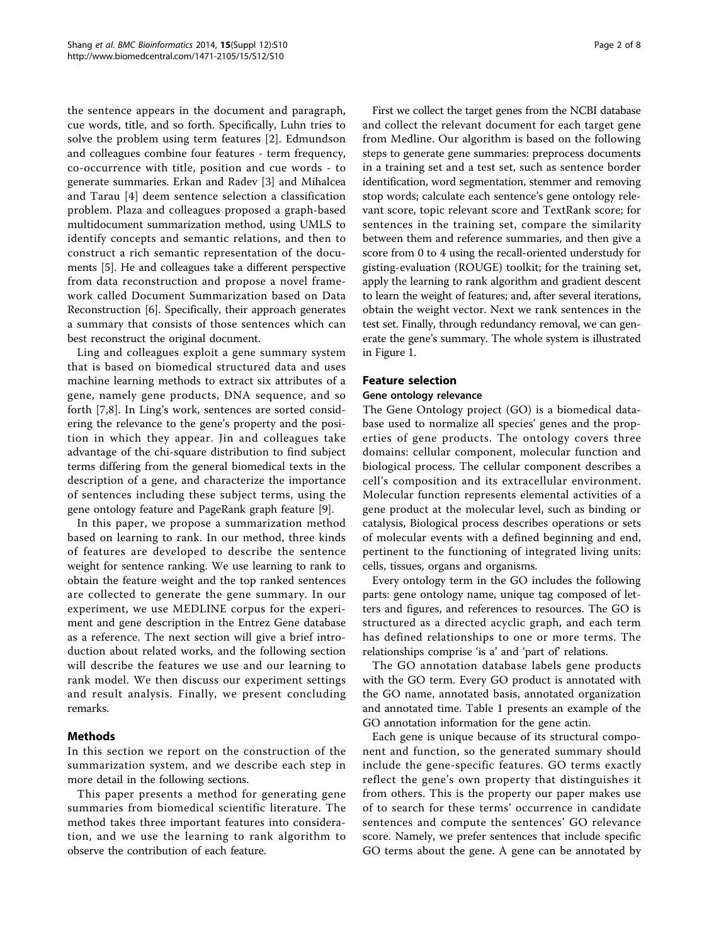the sentence appears in the document and paragraph, cue words, title, and so forth. Specifically, Luhn tries to solve the problem using term features [[2](#page-7-0)]. Edmundson and colleagues combine four features - term frequency, co-occurrence with title, position and cue words - to generate summaries. Erkan and Radev [[3\]](#page-7-0) and Mihalcea and Tarau [[4](#page-7-0)] deem sentence selection a classification problem. Plaza and colleagues proposed a graph-based multidocument summarization method, using UMLS to identify concepts and semantic relations, and then to construct a rich semantic representation of the documents [[5\]](#page-7-0). He and colleagues take a different perspective from data reconstruction and propose a novel framework called Document Summarization based on Data Reconstruction [[6\]](#page-7-0). Specifically, their approach generates a summary that consists of those sentences which can best reconstruct the original document.

Ling and colleagues exploit a gene summary system that is based on biomedical structured data and uses machine learning methods to extract six attributes of a gene, namely gene products, DNA sequence, and so forth [[7,8](#page-7-0)]. In Ling's work, sentences are sorted considering the relevance to the gene's property and the position in which they appear. Jin and colleagues take advantage of the chi-square distribution to find subject terms differing from the general biomedical texts in the description of a gene, and characterize the importance of sentences including these subject terms, using the gene ontology feature and PageRank graph feature [[9\]](#page-7-0).

In this paper, we propose a summarization method based on learning to rank. In our method, three kinds of features are developed to describe the sentence weight for sentence ranking. We use learning to rank to obtain the feature weight and the top ranked sentences are collected to generate the gene summary. In our experiment, we use MEDLINE corpus for the experiment and gene description in the Entrez Gene database as a reference. The next section will give a brief introduction about related works, and the following section will describe the features we use and our learning to rank model. We then discuss our experiment settings and result analysis. Finally, we present concluding remarks.

## Methods

In this section we report on the construction of the summarization system, and we describe each step in more detail in the following sections.

This paper presents a method for generating gene summaries from biomedical scientific literature. The method takes three important features into consideration, and we use the learning to rank algorithm to observe the contribution of each feature.

First we collect the target genes from the NCBI database and collect the relevant document for each target gene from Medline. Our algorithm is based on the following steps to generate gene summaries: preprocess documents in a training set and a test set, such as sentence border identification, word segmentation, stemmer and removing stop words; calculate each sentence's gene ontology relevant score, topic relevant score and TextRank score; for sentences in the training set, compare the similarity between them and reference summaries, and then give a score from 0 to 4 using the recall-oriented understudy for gisting-evaluation (ROUGE) toolkit; for the training set, apply the learning to rank algorithm and gradient descent to learn the weight of features; and, after several iterations, obtain the weight vector. Next we rank sentences in the test set. Finally, through redundancy removal, we can generate the gene's summary. The whole system is illustrated in Figure [1.](#page-2-0)

## Feature selection

## Gene ontology relevance

The Gene Ontology project (GO) is a biomedical database used to normalize all species' genes and the properties of gene products. The ontology covers three domains: cellular component, molecular function and biological process. The cellular component describes a cell's composition and its extracellular environment. Molecular function represents elemental activities of a gene product at the molecular level, such as binding or catalysis, Biological process describes operations or sets of molecular events with a defined beginning and end, pertinent to the functioning of integrated living units: cells, tissues, organs and organisms.

Every ontology term in the GO includes the following parts: gene ontology name, unique tag composed of letters and figures, and references to resources. The GO is structured as a directed acyclic graph, and each term has defined relationships to one or more terms. The relationships comprise 'is a' and 'part of' relations.

The GO annotation database labels gene products with the GO term. Every GO product is annotated with the GO name, annotated basis, annotated organization and annotated time. Table [1](#page-2-0) presents an example of the GO annotation information for the gene actin.

Each gene is unique because of its structural component and function, so the generated summary should include the gene-specific features. GO terms exactly reflect the gene's own property that distinguishes it from others. This is the property our paper makes use of to search for these terms' occurrence in candidate sentences and compute the sentences' GO relevance score. Namely, we prefer sentences that include specific GO terms about the gene. A gene can be annotated by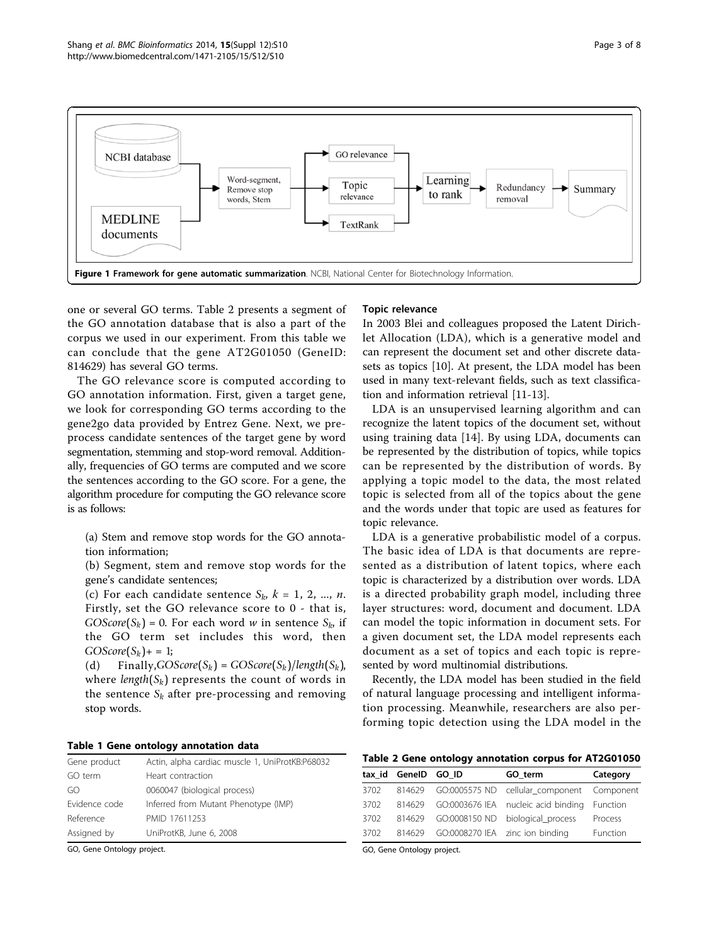<span id="page-2-0"></span>

one or several GO terms. Table 2 presents a segment of the GO annotation database that is also a part of the corpus we used in our experiment. From this table we can conclude that the gene AT2G01050 (GeneID: 814629) has several GO terms.

The GO relevance score is computed according to GO annotation information. First, given a target gene, we look for corresponding GO terms according to the gene2go data provided by Entrez Gene. Next, we preprocess candidate sentences of the target gene by word segmentation, stemming and stop-word removal. Additionally, frequencies of GO terms are computed and we score the sentences according to the GO score. For a gene, the algorithm procedure for computing the GO relevance score is as follows:

(a) Stem and remove stop words for the GO annotation information;

(b) Segment, stem and remove stop words for the gene's candidate sentences;

(c) For each candidate sentence  $S_k$ ,  $k = 1, 2, ..., n$ . Firstly, set the GO relevance score to 0 - that is,  $GOScore(S_k) = 0$ . For each word w in sentence  $S_k$ , if the GO term set includes this word, then  $GOScore(S_k)+=1;$ 

(d) Finally,*GOScore*( $S_k$ ) = *GOScore*( $S_k$ )/*length*( $S_k$ ), where *length* $(S_k)$  represents the count of words in the sentence  $S_k$  after pre-processing and removing stop words.

## Table 1 Gene ontology annotation data

| Actin, alpha cardiac muscle 1, UniProtKB:P68032 |
|-------------------------------------------------|
| Heart contraction                               |
| 0060047 (biological process)                    |
| Inferred from Mutant Phenotype (IMP)            |
| PMID 17611253                                   |
| UniProtKB, June 6, 2008                         |
|                                                 |

GO, Gene Ontology project.

#### Topic relevance

In 2003 Blei and colleagues proposed the Latent Dirichlet Allocation (LDA), which is a generative model and can represent the document set and other discrete datasets as topics [[10\]](#page-7-0). At present, the LDA model has been used in many text-relevant fields, such as text classification and information retrieval [\[11](#page-7-0)-[13](#page-7-0)].

LDA is an unsupervised learning algorithm and can recognize the latent topics of the document set, without using training data [[14\]](#page-7-0). By using LDA, documents can be represented by the distribution of topics, while topics can be represented by the distribution of words. By applying a topic model to the data, the most related topic is selected from all of the topics about the gene and the words under that topic are used as features for topic relevance.

LDA is a generative probabilistic model of a corpus. The basic idea of LDA is that documents are represented as a distribution of latent topics, where each topic is characterized by a distribution over words. LDA is a directed probability graph model, including three layer structures: word, document and document. LDA can model the topic information in document sets. For a given document set, the LDA model represents each document as a set of topics and each topic is represented by word multinomial distributions.

Recently, the LDA model has been studied in the field of natural language processing and intelligent information processing. Meanwhile, researchers are also performing topic detection using the LDA model in the

Table 2 Gene ontology annotation corpus for AT2G01050

|      | tax id GeneID GO ID |                                 | GO term                                           | Category |
|------|---------------------|---------------------------------|---------------------------------------------------|----------|
| 3702 |                     |                                 | 814629 GO:0005575 ND cellular_component Component |          |
| 3702 |                     |                                 | 814629 GO:0003676 IEA nucleic acid binding        | Function |
| 3702 |                     |                                 | 814629 GO:0008150 ND biological process           | Process  |
| 3702 | 814629              | GO:0008270 IEA zinc ion binding |                                                   | Function |

GO, Gene Ontology project.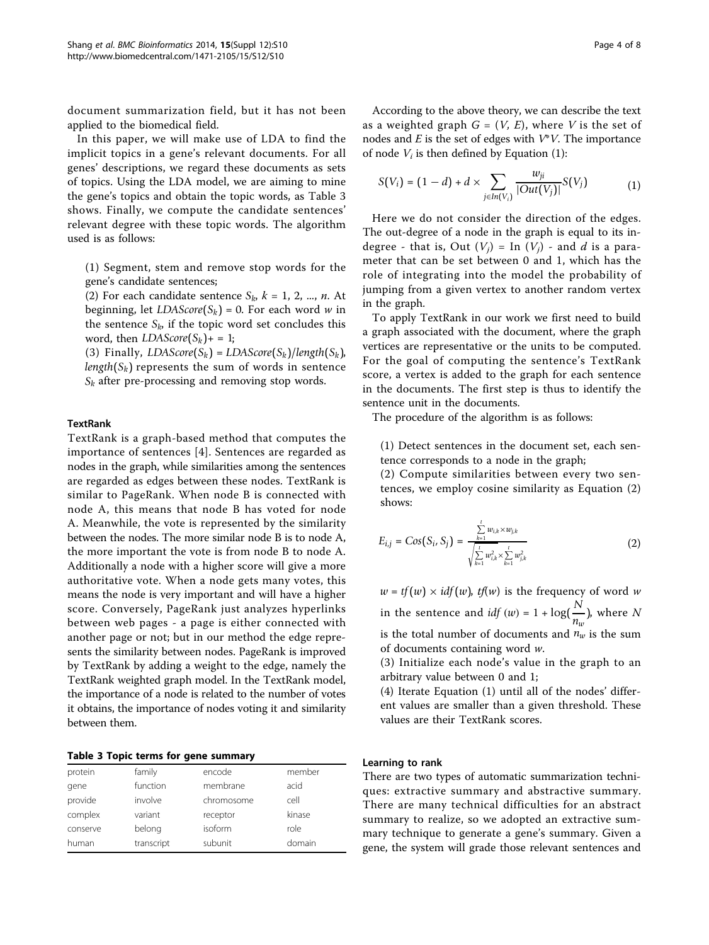document summarization field, but it has not been applied to the biomedical field.

In this paper, we will make use of LDA to find the implicit topics in a gene's relevant documents. For all genes' descriptions, we regard these documents as sets of topics. Using the LDA model, we are aiming to mine the gene's topics and obtain the topic words, as Table 3 shows. Finally, we compute the candidate sentences' relevant degree with these topic words. The algorithm used is as follows:

(1) Segment, stem and remove stop words for the gene's candidate sentences;

(2) For each candidate sentence  $S_k$ ,  $k = 1, 2, ..., n$ . At beginning, let  $LDAScore(S_k) = 0$ . For each word w in the sentence  $S_k$ , if the topic word set concludes this word, then  $LDAScore(S_k)+=1$ ;

(3) Finally,  $LDAScore(S_k) = LDAScore(S_k)/length(S_k)$ , *length*( $S_k$ ) represents the sum of words in sentence *Sk* after pre-processing and removing stop words.

## **TextRank**

TextRank is a graph-based method that computes the importance of sentences [[4\]](#page-7-0). Sentences are regarded as nodes in the graph, while similarities among the sentences are regarded as edges between these nodes. TextRank is similar to PageRank. When node B is connected with node A, this means that node B has voted for node A. Meanwhile, the vote is represented by the similarity between the nodes. The more similar node B is to node A, the more important the vote is from node B to node A. Additionally a node with a higher score will give a more authoritative vote. When a node gets many votes, this means the node is very important and will have a higher score. Conversely, PageRank just analyzes hyperlinks between web pages - a page is either connected with another page or not; but in our method the edge represents the similarity between nodes. PageRank is improved by TextRank by adding a weight to the edge, namely the TextRank weighted graph model. In the TextRank model, the importance of a node is related to the number of votes it obtains, the importance of nodes voting it and similarity between them.

|  |  |  |  |  | Table 3 Topic terms for gene summary |
|--|--|--|--|--|--------------------------------------|
|--|--|--|--|--|--------------------------------------|

| protein  | family     | encode     | member |
|----------|------------|------------|--------|
| gene     | function   | membrane   | acid   |
| provide  | involve    | chromosome | cell   |
| complex  | variant    | receptor   | kinase |
| conserve | belong     | isoform    | role   |
| human    | transcript | subunit    | domain |

According to the above theory, we can describe the text as a weighted graph  $G = (V, E)$ , where V is the set of nodes and  $E$  is the set of edges with  $V^*V$ . The importance of node  $V_i$  is then defined by Equation (1):

$$
S(V_i) = (1 - d) + d \times \sum_{j \in In(V_i)} \frac{w_{ji}}{|Out(V_j)|} S(V_j)
$$
 (1)

Here we do not consider the direction of the edges. The out-degree of a node in the graph is equal to its indegree - that is, Out  $(V_j)$  = In  $(V_j)$  - and d is a parameter that can be set between 0 and 1, which has the role of integrating into the model the probability of jumping from a given vertex to another random vertex in the graph.

To apply TextRank in our work we first need to build a graph associated with the document, where the graph vertices are representative or the units to be computed. For the goal of computing the sentence's TextRank score, a vertex is added to the graph for each sentence in the documents. The first step is thus to identify the sentence unit in the documents.

The procedure of the algorithm is as follows:

(1) Detect sentences in the document set, each sentence corresponds to a node in the graph;

(2) Compute similarities between every two sentences, we employ cosine similarity as Equation (2) shows:

$$
E_{i,j} = Cos(S_i, S_j) = \frac{\sum_{k=1}^{t} w_{i,k} \times w_{j,k}}{\sqrt{\sum_{k=1}^{t} w_{i,k}^2} \times \sum_{k=1}^{t} w_{j,k}^2}
$$
(2)

 $w = tf(w) \times idf(w)$ ,  $tf(w)$  is the frequency of word w in the sentence and  $idf(w) = 1 + \log(\frac{N}{n_w})$ , where N is the total number of documents and  $n_w$  is the sum of documents containing word w.

(3) Initialize each node's value in the graph to an arbitrary value between 0 and 1;

(4) Iterate Equation (1) until all of the nodes' different values are smaller than a given threshold. These values are their TextRank scores.

## Learning to rank

There are two types of automatic summarization techniques: extractive summary and abstractive summary. There are many technical difficulties for an abstract summary to realize, so we adopted an extractive summary technique to generate a gene's summary. Given a gene, the system will grade those relevant sentences and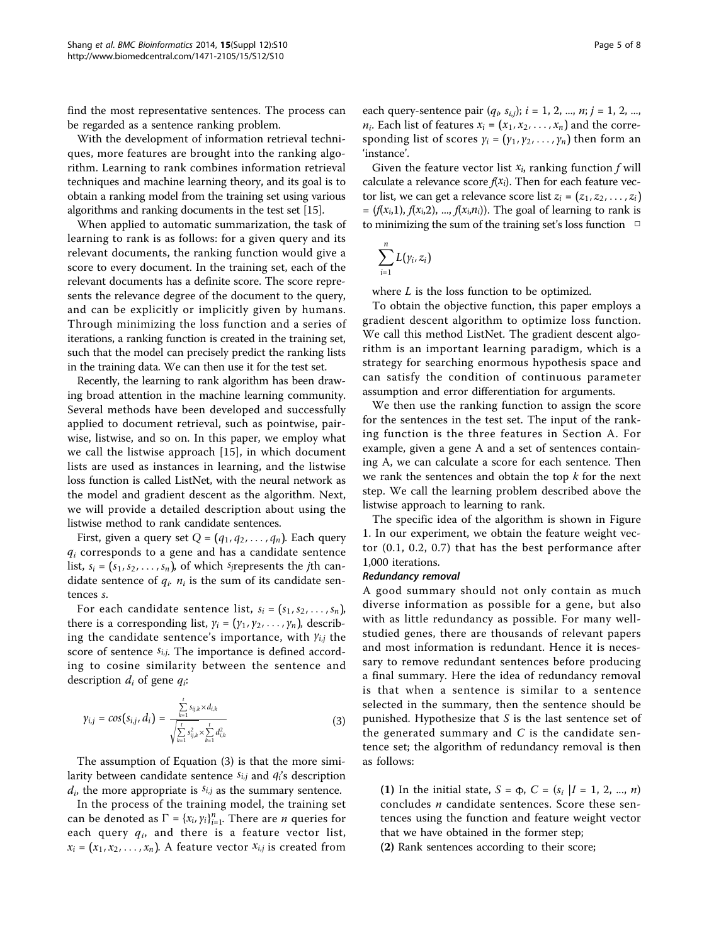find the most representative sentences. The process can be regarded as a sentence ranking problem.

With the development of information retrieval techniques, more features are brought into the ranking algorithm. Learning to rank combines information retrieval techniques and machine learning theory, and its goal is to obtain a ranking model from the training set using various algorithms and ranking documents in the test set [[15](#page-7-0)].

When applied to automatic summarization, the task of learning to rank is as follows: for a given query and its relevant documents, the ranking function would give a score to every document. In the training set, each of the relevant documents has a definite score. The score represents the relevance degree of the document to the query, and can be explicitly or implicitly given by humans. Through minimizing the loss function and a series of iterations, a ranking function is created in the training set, such that the model can precisely predict the ranking lists in the training data. We can then use it for the test set.

Recently, the learning to rank algorithm has been drawing broad attention in the machine learning community. Several methods have been developed and successfully applied to document retrieval, such as pointwise, pairwise, listwise, and so on. In this paper, we employ what we call the listwise approach [[15](#page-7-0)], in which document lists are used as instances in learning, and the listwise loss function is called ListNet, with the neural network as the model and gradient descent as the algorithm. Next, we will provide a detailed description about using the listwise method to rank candidate sentences.

First, given a query set  $Q = (q_1, q_2, \ldots, q_n)$ . Each query  $q_i$  corresponds to a gene and has a candidate sentence list,  $s_i = (s_1, s_2, \ldots, s_n)$ , of which *sj*represents the *j*th candidate sentence of  $q_i$ .  $n_i$  is the sum of its candidate sentences s.

For each candidate sentence list,  $s_i = (s_1, s_2, \ldots, s_n)$ , there is a corresponding list,  $y_i = (y_1, y_2, \dots, y_n)$ , describing the candidate sentence's importance, with *yi*,*<sup>j</sup>* the score of sentence *si*,*j*. The importance is defined according to cosine similarity between the sentence and description  $d_i$  of gene  $q_i$ :

$$
\gamma_{i,j} = \cos(s_{i,j}, d_i) = \frac{\sum_{k=1}^{t} s_{ij,k} \times d_{i,k}}{\sqrt{\sum_{k=1}^{t} s_{ij,k}^2} \times \sum_{k=1}^{t} d_{i,k}^2}
$$
(3)

The assumption of Equation (3) is that the more similarity between candidate sentence *si*,*<sup>j</sup>* and *qi*'s description  $d_i$ , the more appropriate is  $s_{i,j}$  as the summary sentence.

In the process of the training model, the training set can be denoted as  $\Gamma = \{x_i, y_i\}_{i=1}^n$ . There are *n* queries for each query  $q_i$ , and there is a feature vector list,  $x_i = (x_1, x_2, \ldots, x_n)$ . A feature vector  $x_{i,j}$  is created from

each query-sentence pair  $(q_i, s_{i,j}); i = 1, 2, ..., n; j = 1, 2, ...,$  $n_i$ . Each list of features  $x_i = (x_1, x_2, \ldots, x_n)$  and the corresponding list of scores  $y_i = (y_1, y_2, \ldots, y_n)$  then form an 'instance'.

Given the feature vector list  $x_i$ , ranking function  $f$  will calculate a relevance score  $f(x_i)$ . Then for each feature vector list, we can get a relevance score list  $z_i = (z_1, z_2, \ldots, z_i)$  $=(f(x_i,1), f(x_i,2), ..., f(x_i,n_i))$ . The goal of learning to rank is to minimizing the sum of the training set's loss function  $\Box$ 

$$
\sum_{i=1}^n L\big(\gamma_i,z_i\big)
$$

where  $L$  is the loss function to be optimized.

To obtain the objective function, this paper employs a gradient descent algorithm to optimize loss function. We call this method ListNet. The gradient descent algorithm is an important learning paradigm, which is a strategy for searching enormous hypothesis space and can satisfy the condition of continuous parameter assumption and error differentiation for arguments.

We then use the ranking function to assign the score for the sentences in the test set. The input of the ranking function is the three features in Section A. For example, given a gene A and a set of sentences containing A, we can calculate a score for each sentence. Then we rank the sentences and obtain the top  $k$  for the next step. We call the learning problem described above the listwise approach to learning to rank.

The specific idea of the algorithm is shown in Figure [1.](#page-2-0) In our experiment, we obtain the feature weight vector (0.1, 0.2, 0.7) that has the best performance after 1,000 iterations.

#### Redundancy removal

A good summary should not only contain as much diverse information as possible for a gene, but also with as little redundancy as possible. For many wellstudied genes, there are thousands of relevant papers and most information is redundant. Hence it is necessary to remove redundant sentences before producing a final summary. Here the idea of redundancy removal is that when a sentence is similar to a sentence selected in the summary, then the sentence should be punished. Hypothesize that  $S$  is the last sentence set of the generated summary and  $C$  is the candidate sentence set; the algorithm of redundancy removal is then as follows:

(1) In the initial state,  $S = \Phi$ ,  $C = (s_i | I = 1, 2, ..., n)$ concludes  $n$  candidate sentences. Score these sentences using the function and feature weight vector that we have obtained in the former step;

(2) Rank sentences according to their score;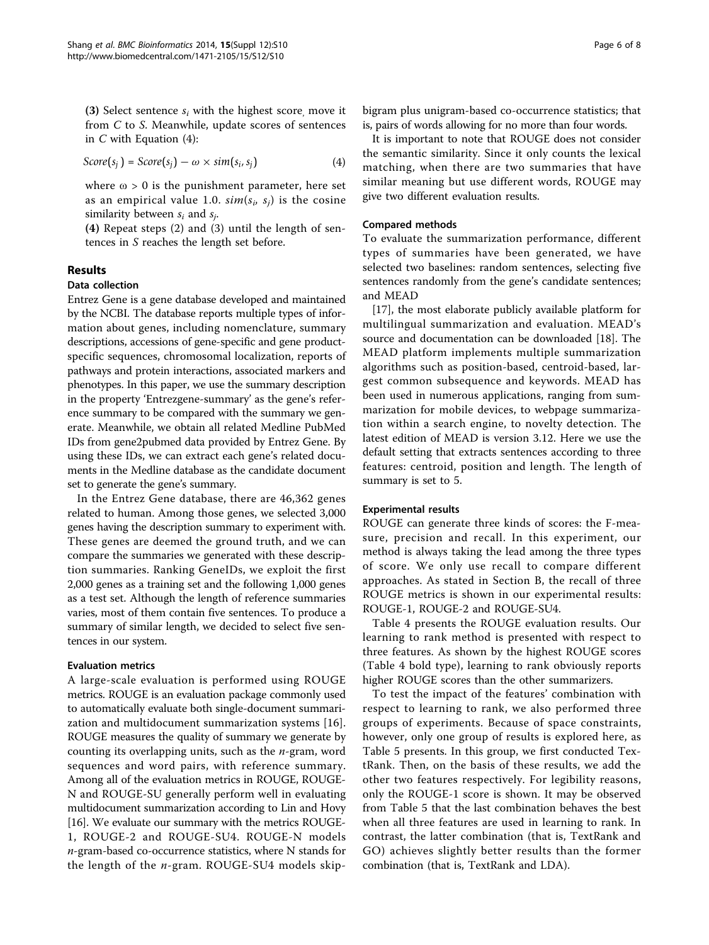(3) Select sentence  $s_i$  with the highest score, move it from C to S. Meanwhile, update scores of sentences in  $C$  with Equation  $(4)$ :

$$
Score(s_j) = Score(s_j) - \omega \times sim(s_i, s_j)
$$
\n(4)

where  $\omega > 0$  is the punishment parameter, here set as an empirical value 1.0.  $sim(s_i, s_j)$  is the cosine similarity between  $s_i$  and  $s_i$ .

(4) Repeat steps (2) and (3) until the length of sentences in S reaches the length set before.

## Results

#### Data collection

Entrez Gene is a gene database developed and maintained by the NCBI. The database reports multiple types of information about genes, including nomenclature, summary descriptions, accessions of gene-specific and gene productspecific sequences, chromosomal localization, reports of pathways and protein interactions, associated markers and phenotypes. In this paper, we use the summary description in the property 'Entrezgene-summary' as the gene's reference summary to be compared with the summary we generate. Meanwhile, we obtain all related Medline PubMed IDs from gene2pubmed data provided by Entrez Gene. By using these IDs, we can extract each gene's related documents in the Medline database as the candidate document set to generate the gene's summary.

In the Entrez Gene database, there are 46,362 genes related to human. Among those genes, we selected 3,000 genes having the description summary to experiment with. These genes are deemed the ground truth, and we can compare the summaries we generated with these description summaries. Ranking GeneIDs, we exploit the first 2,000 genes as a training set and the following 1,000 genes as a test set. Although the length of reference summaries varies, most of them contain five sentences. To produce a summary of similar length, we decided to select five sentences in our system.

## Evaluation metrics

A large-scale evaluation is performed using ROUGE metrics. ROUGE is an evaluation package commonly used to automatically evaluate both single-document summarization and multidocument summarization systems [[16](#page-7-0)]. ROUGE measures the quality of summary we generate by counting its overlapping units, such as the  $n$ -gram, word sequences and word pairs, with reference summary. Among all of the evaluation metrics in ROUGE, ROUGE-N and ROUGE-SU generally perform well in evaluating multidocument summarization according to Lin and Hovy [[16](#page-7-0)]. We evaluate our summary with the metrics ROUGE-1, ROUGE-2 and ROUGE-SU4. ROUGE-N models n-gram-based co-occurrence statistics, where N stands for the length of the n-gram. ROUGE-SU4 models skipbigram plus unigram-based co-occurrence statistics; that is, pairs of words allowing for no more than four words.

It is important to note that ROUGE does not consider the semantic similarity. Since it only counts the lexical matching, when there are two summaries that have similar meaning but use different words, ROUGE may give two different evaluation results.

#### Compared methods

To evaluate the summarization performance, different types of summaries have been generated, we have selected two baselines: random sentences, selecting five sentences randomly from the gene's candidate sentences; and MEAD

[[17\]](#page-7-0), the most elaborate publicly available platform for multilingual summarization and evaluation. MEAD's source and documentation can be downloaded [[18\]](#page-7-0). The MEAD platform implements multiple summarization algorithms such as position-based, centroid-based, largest common subsequence and keywords. MEAD has been used in numerous applications, ranging from summarization for mobile devices, to webpage summarization within a search engine, to novelty detection. The latest edition of MEAD is version 3.12. Here we use the default setting that extracts sentences according to three features: centroid, position and length. The length of summary is set to 5.

#### Experimental results

ROUGE can generate three kinds of scores: the F-measure, precision and recall. In this experiment, our method is always taking the lead among the three types of score. We only use recall to compare different approaches. As stated in Section B, the recall of three ROUGE metrics is shown in our experimental results: ROUGE-1, ROUGE-2 and ROUGE-SU4.

Table [4](#page-6-0) presents the ROUGE evaluation results. Our learning to rank method is presented with respect to three features. As shown by the highest ROUGE scores (Table [4](#page-6-0) bold type), learning to rank obviously reports higher ROUGE scores than the other summarizers.

To test the impact of the features' combination with respect to learning to rank, we also performed three groups of experiments. Because of space constraints, however, only one group of results is explored here, as Table [5](#page-6-0) presents. In this group, we first conducted TextRank. Then, on the basis of these results, we add the other two features respectively. For legibility reasons, only the ROUGE-1 score is shown. It may be observed from Table [5](#page-6-0) that the last combination behaves the best when all three features are used in learning to rank. In contrast, the latter combination (that is, TextRank and GO) achieves slightly better results than the former combination (that is, TextRank and LDA).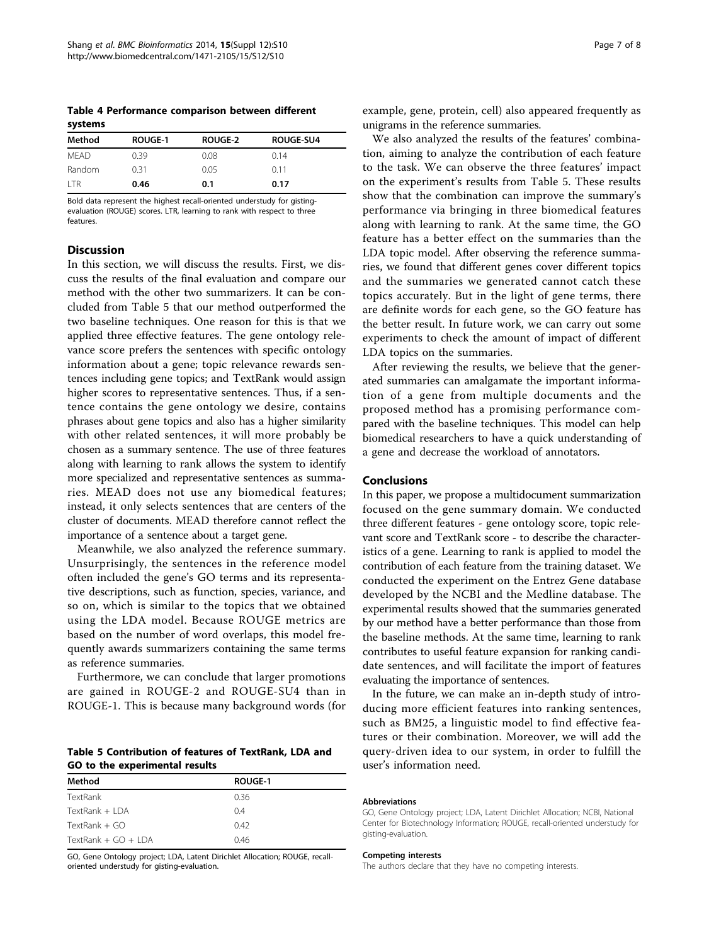<span id="page-6-0"></span>Table 4 Performance comparison between different systems

| Method      | <b>ROUGE-1</b> | <b>ROUGE-2</b> | <b>ROUGE-SU4</b> |  |
|-------------|----------------|----------------|------------------|--|
| <b>MFAD</b> | 0.39           | 0.08           | 0.14             |  |
| Random      | 0.31           | 0.05           | 011              |  |
| l TR        | 0.46           | 0.1            | 0.17             |  |

Bold data represent the highest recall-oriented understudy for gistingevaluation (ROUGE) scores. LTR, learning to rank with respect to three features.

## **Discussion**

In this section, we will discuss the results. First, we discuss the results of the final evaluation and compare our method with the other two summarizers. It can be concluded from Table 5 that our method outperformed the two baseline techniques. One reason for this is that we applied three effective features. The gene ontology relevance score prefers the sentences with specific ontology information about a gene; topic relevance rewards sentences including gene topics; and TextRank would assign higher scores to representative sentences. Thus, if a sentence contains the gene ontology we desire, contains phrases about gene topics and also has a higher similarity with other related sentences, it will more probably be chosen as a summary sentence. The use of three features along with learning to rank allows the system to identify more specialized and representative sentences as summaries. MEAD does not use any biomedical features; instead, it only selects sentences that are centers of the cluster of documents. MEAD therefore cannot reflect the importance of a sentence about a target gene.

Meanwhile, we also analyzed the reference summary. Unsurprisingly, the sentences in the reference model often included the gene's GO terms and its representative descriptions, such as function, species, variance, and so on, which is similar to the topics that we obtained using the LDA model. Because ROUGE metrics are based on the number of word overlaps, this model frequently awards summarizers containing the same terms as reference summaries.

Furthermore, we can conclude that larger promotions are gained in ROUGE-2 and ROUGE-SU4 than in ROUGE-1. This is because many background words (for

Table 5 Contribution of features of TextRank, LDA and GO to the experimental results

| Method                | <b>ROUGE-1</b> |  |
|-----------------------|----------------|--|
| TextRank              | 0.36           |  |
| TextRank + LDA        | 0.4            |  |
| $TextRank + GO$       | 0.42           |  |
| TextRank + $GO + IDA$ | 0.46           |  |

GO, Gene Ontology project; LDA, Latent Dirichlet Allocation; ROUGE, recalloriented understudy for gisting-evaluation.

example, gene, protein, cell) also appeared frequently as unigrams in the reference summaries.

We also analyzed the results of the features' combination, aiming to analyze the contribution of each feature to the task. We can observe the three features' impact on the experiment's results from Table 5. These results show that the combination can improve the summary's performance via bringing in three biomedical features along with learning to rank. At the same time, the GO feature has a better effect on the summaries than the LDA topic model. After observing the reference summaries, we found that different genes cover different topics and the summaries we generated cannot catch these topics accurately. But in the light of gene terms, there are definite words for each gene, so the GO feature has the better result. In future work, we can carry out some experiments to check the amount of impact of different LDA topics on the summaries.

After reviewing the results, we believe that the generated summaries can amalgamate the important information of a gene from multiple documents and the proposed method has a promising performance compared with the baseline techniques. This model can help biomedical researchers to have a quick understanding of a gene and decrease the workload of annotators.

## Conclusions

In this paper, we propose a multidocument summarization focused on the gene summary domain. We conducted three different features - gene ontology score, topic relevant score and TextRank score - to describe the characteristics of a gene. Learning to rank is applied to model the contribution of each feature from the training dataset. We conducted the experiment on the Entrez Gene database developed by the NCBI and the Medline database. The experimental results showed that the summaries generated by our method have a better performance than those from the baseline methods. At the same time, learning to rank contributes to useful feature expansion for ranking candidate sentences, and will facilitate the import of features evaluating the importance of sentences.

In the future, we can make an in-depth study of introducing more efficient features into ranking sentences, such as BM25, a linguistic model to find effective features or their combination. Moreover, we will add the query-driven idea to our system, in order to fulfill the user's information need.

#### Abbreviations

GO, Gene Ontology project; LDA, Latent Dirichlet Allocation; NCBI, National Center for Biotechnology Information; ROUGE, recall-oriented understudy for gisting-evaluation.

#### Competing interests

The authors declare that they have no competing interests.